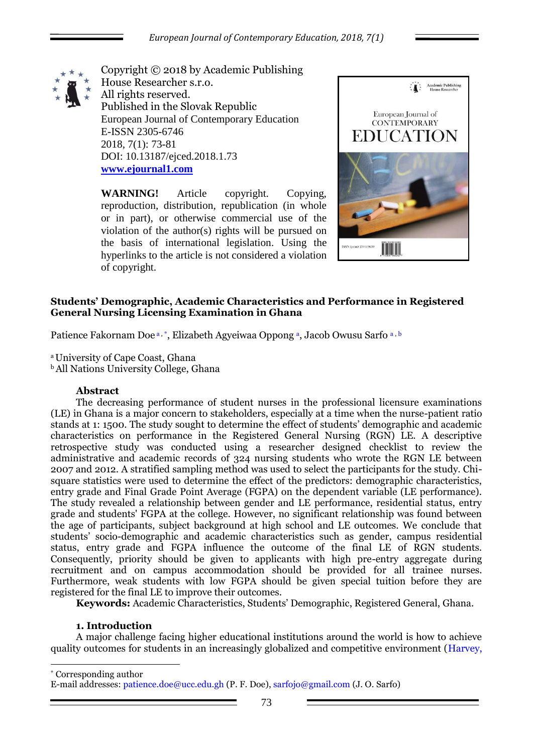

Copyright © 2018 by Academic Publishing House Researcher s.r.o. All rights reserved. Published in the Slovak Republic European Journal of Contemporary Education E-ISSN 2305-6746 2018, 7(1): 73-81 DOI: 10.13187/ejced.2018.1.73 **[www.ejournal1.com](http://www.ejournal1.com/)**

**WARNING!** Article copyright. Copying, reproduction, distribution, republication (in whole or in part), or otherwise commercial use of the violation of the author(s) rights will be pursued on the basis of international legislation. Using the hyperlinks to the article is not considered a violation of copyright.



# **Students' Demographic, Academic Characteristics and Performance in Registered General Nursing Licensing Examination in Ghana**

Patience Fakornam Doe<sup>a,\*</sup>, Elizabeth Agyeiwaa Oppong<sup>a</sup>, Jacob Owusu Sarfo<sup>a, b</sup>

<sup>a</sup>University of Cape Coast, Ghana

<sup>b</sup>All Nations University College, Ghana

## **Abstract**

The decreasing performance of student nurses in the professional licensure examinations (LE) in Ghana is a major concern to stakeholders, especially at a time when the nurse-patient ratio stands at 1: 1500. The study sought to determine the effect of students' demographic and academic characteristics on performance in the Registered General Nursing (RGN) LE. A descriptive retrospective study was conducted using a researcher designed checklist to review the administrative and academic records of 324 nursing students who wrote the RGN LE between 2007 and 2012. A stratified sampling method was used to select the participants for the study. Chisquare statistics were used to determine the effect of the predictors: demographic characteristics, entry grade and Final Grade Point Average (FGPA) on the dependent variable (LE performance). The study revealed a relationship between gender and LE performance, residential status, entry grade and students' FGPA at the college. However, no significant relationship was found between the age of participants, subject background at high school and LE outcomes. We conclude that students' socio-demographic and academic characteristics such as gender, campus residential status, entry grade and FGPA influence the outcome of the final LE of RGN students. Consequently, priority should be given to applicants with high pre-entry aggregate during recruitment and on campus accommodation should be provided for all trainee nurses. Furthermore, weak students with low FGPA should be given special tuition before they are registered for the final LE to improve their outcomes.

**Keywords:** Academic Characteristics, Students' Demographic, Registered General, Ghana.

## **1. Introduction**

1

A major challenge facing higher educational institutions around the world is how to achieve quality outcomes for students in an increasingly globalized and competitive environment (Harvey,

\* Corresponding author E-mail addresses: patience.doe@ucc.edu.gh (P. F. Doe), sarfojo@gmail.com (J. O. Sarfo)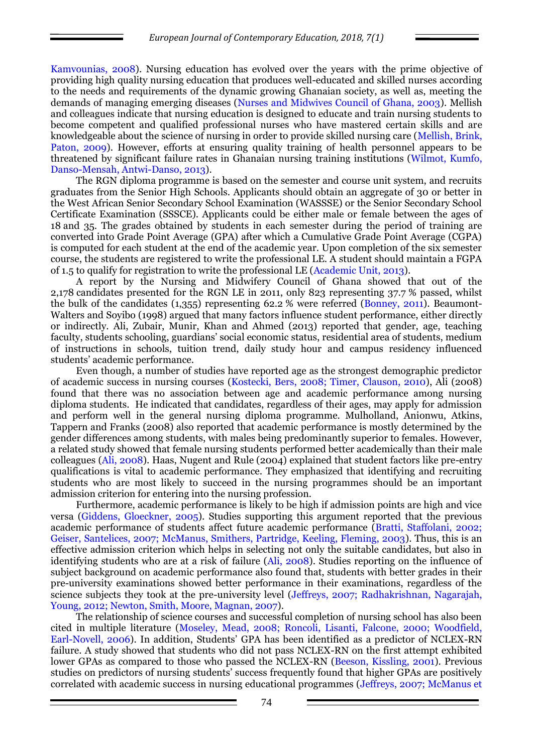Kamvounias, 2008). Nursing education has evolved over the years with the prime objective of providing high quality nursing education that produces well-educated and skilled nurses according to the needs and requirements of the dynamic growing Ghanaian society, as well as, meeting the demands of managing emerging diseases (Nurses and Midwives Council of Ghana, 2003). Mellish and colleagues indicate that nursing education is designed to educate and train nursing students to become competent and qualified professional nurses who have mastered certain skills and are knowledgeable about the science of nursing in order to provide skilled nursing care (Mellish, Brink, Paton, 2009). However, efforts at ensuring quality training of health personnel appears to be threatened by significant failure rates in Ghanaian nursing training institutions (Wilmot, Kumfo, Danso-Mensah, Antwi-Danso, 2013).

The RGN diploma programme is based on the semester and course unit system, and recruits graduates from the Senior High Schools. Applicants should obtain an aggregate of 30 or better in the West African Senior Secondary School Examination (WASSSE) or the Senior Secondary School Certificate Examination (SSSCE). Applicants could be either male or female between the ages of 18 and 35. The grades obtained by students in each semester during the period of training are converted into Grade Point Average (GPA) after which a Cumulative Grade Point Average (CGPA) is computed for each student at the end of the academic year. Upon completion of the six semester course, the students are registered to write the professional LE. A student should maintain a FGPA of 1.5 to qualify for registration to write the professional LE (Academic Unit, 2013).

A report by the Nursing and Midwifery Council of Ghana showed that out of the 2,178 candidates presented for the RGN LE in 2011, only 823 representing 37.7 % passed, whilst the bulk of the candidates (1,355) representing 62.2 % were referred (Bonney, 2011). Beaumont-Walters and Soyibo (1998) argued that many factors influence student performance, either directly or indirectly. Ali, Zubair, Munir, Khan and Ahmed (2013) reported that gender, age, teaching faculty, students schooling, guardians' social economic status, residential area of students, medium of instructions in schools, tuition trend, daily study hour and campus residency influenced students' academic performance.

Even though, a number of studies have reported age as the strongest demographic predictor of academic success in nursing courses (Kostecki, Bers, 2008; Timer, Clauson, 2010), Ali (2008) found that there was no association between age and academic performance among nursing diploma students. He indicated that candidates, regardless of their ages, may apply for admission and perform well in the general nursing diploma programme. Mulholland, Anionwu, Atkins, Tappern and Franks (2008) also reported that academic performance is mostly determined by the gender differences among students, with males being predominantly superior to females. However, a related study showed that female nursing students performed better academically than their male colleagues (Ali, 2008). Haas, Nugent and Rule (2004) explained that student factors like pre-entry qualifications is vital to academic performance. They emphasized that identifying and recruiting students who are most likely to succeed in the nursing programmes should be an important admission criterion for entering into the nursing profession.

Furthermore, academic performance is likely to be high if admission points are high and vice versa (Giddens, Gloeckner, 2005). Studies supporting this argument reported that the previous academic performance of students affect future academic performance (Bratti, Staffolani, 2002; Geiser, Santelices, 2007; McManus, Smithers, Partridge, Keeling, Fleming, 2003). Thus, this is an effective admission criterion which helps in selecting not only the suitable candidates, but also in identifying students who are at a risk of failure (Ali, 2008). Studies reporting on the influence of subject background on academic performance also found that, students with better grades in their pre-university examinations showed better performance in their examinations, regardless of the science subjects they took at the pre-university level (Jeffreys, 2007; Radhakrishnan, Nagarajah, Young, 2012; Newton, Smith, Moore, Magnan, 2007).

The relationship of science courses and successful completion of nursing school has also been cited in multiple literature (Moseley, Mead, 2008; Roncoli, Lisanti, Falcone, 2000; Woodfield, Earl-Novell, 2006). In addition, Students' GPA has been identified as a predictor of NCLEX-RN failure. A study showed that students who did not pass NCLEX-RN on the first attempt exhibited lower GPAs as compared to those who passed the NCLEX-RN (Beeson, Kissling, 2001). Previous studies on predictors of nursing students' success frequently found that higher GPAs are positively correlated with academic success in nursing educational programmes (Jeffreys, 2007; McManus et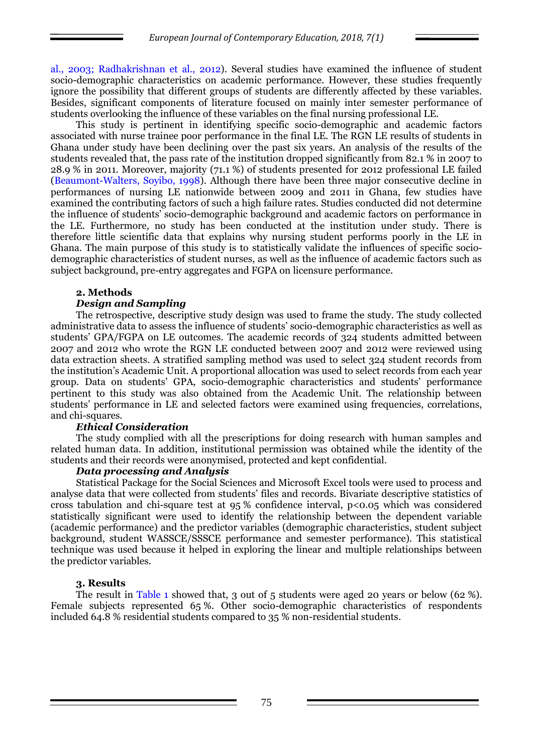al., 2003; Radhakrishnan et al., 2012). Several studies have examined the influence of student socio-demographic characteristics on academic performance. However, these studies frequently ignore the possibility that different groups of students are differently affected by these variables. Besides, significant components of literature focused on mainly inter semester performance of students overlooking the influence of these variables on the final nursing professional LE.

This study is pertinent in identifying specific socio-demographic and academic factors associated with nurse trainee poor performance in the final LE. The RGN LE results of students in Ghana under study have been declining over the past six years. An analysis of the results of the students revealed that, the pass rate of the institution dropped significantly from 82.1 % in 2007 to 28.9 % in 2011. Moreover, majority (71.1 %) of students presented for 2012 professional LE failed (Beaumont-Walters, Soyibo, 1998). Although there have been three major consecutive decline in performances of nursing LE nationwide between 2009 and 2011 in Ghana, few studies have examined the contributing factors of such a high failure rates. Studies conducted did not determine the influence of students' socio-demographic background and academic factors on performance in the LE. Furthermore, no study has been conducted at the institution under study. There is therefore little scientific data that explains why nursing student performs poorly in the LE in Ghana. The main purpose of this study is to statistically validate the influences of specific sociodemographic characteristics of student nurses, as well as the influence of academic factors such as subject background, pre-entry aggregates and FGPA on licensure performance.

## **2. Methods**

## *Design and Sampling*

The retrospective, descriptive study design was used to frame the study. The study collected administrative data to assess the influence of students' socio-demographic characteristics as well as students' GPA/FGPA on LE outcomes. The academic records of 324 students admitted between 2007 and 2012 who wrote the RGN LE conducted between 2007 and 2012 were reviewed using data extraction sheets. A stratified sampling method was used to select 324 student records from the institution's Academic Unit. A proportional allocation was used to select records from each year group. Data on students' GPA, socio-demographic characteristics and students' performance pertinent to this study was also obtained from the Academic Unit. The relationship between students' performance in LE and selected factors were examined using frequencies, correlations, and chi-squares.

#### *Ethical Consideration*

The study complied with all the prescriptions for doing research with human samples and related human data. In addition, institutional permission was obtained while the identity of the students and their records were anonymised, protected and kept confidential.

#### *Data processing and Analysis*

Statistical Package for the Social Sciences and Microsoft Excel tools were used to process and analyse data that were collected from students' files and records. Bivariate descriptive statistics of cross tabulation and chi-square test at  $95\%$  confidence interval,  $p<0.05$  which was considered statistically significant were used to identify the relationship between the dependent variable (academic performance) and the predictor variables (demographic characteristics, student subject background, student WASSCE/SSSCE performance and semester performance). This statistical technique was used because it helped in exploring the linear and multiple relationships between the predictor variables.

## **3. Results**

The result in Table 1 showed that, 3 out of 5 students were aged 20 years or below (62 %). Female subjects represented 65 %. Other socio-demographic characteristics of respondents included 64.8 % residential students compared to 35 % non-residential students.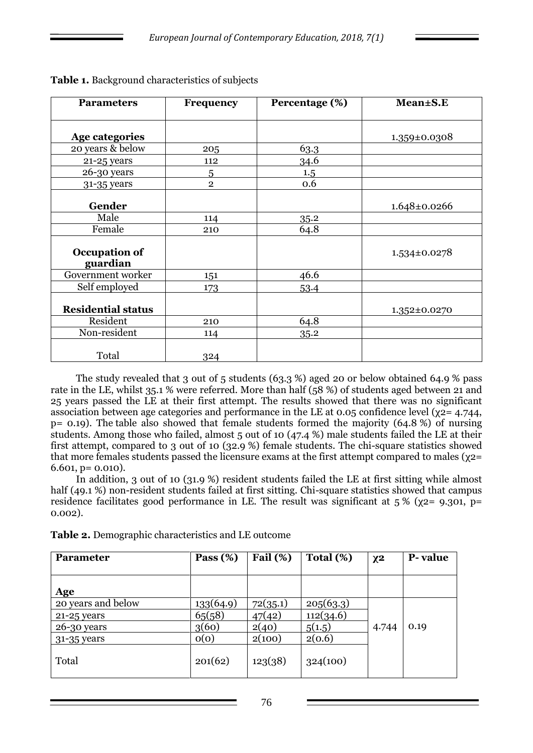| <b>Parameters</b>         | <b>Frequency</b> | Percentage (%) | Mean±S.E           |
|---------------------------|------------------|----------------|--------------------|
|                           |                  |                |                    |
| Age categories            |                  |                | 1.359±0.0308       |
| 20 years & below          | 205              | 63.3           |                    |
| 21-25 years               | 112              | 34.6           |                    |
| 26-30 years               | 5                | 1.5            |                    |
| 31-35 years               | $\overline{2}$   | 0.6            |                    |
| Gender                    |                  |                |                    |
|                           |                  |                | 1.648±0.0266       |
| Male                      | 114              | 35.2           |                    |
| Female                    | 210              | 64.8           |                    |
| Occupation of<br>guardian |                  |                | $1.534 \pm 0.0278$ |
| Government worker         | 151              | 46.6           |                    |
| Self employed             | 173              | 53.4           |                    |
| <b>Residential status</b> |                  |                | 1.352±0.0270       |
| Resident                  | 210              | 64.8           |                    |
| Non-resident              | 114              | 35.2           |                    |
| Total                     | 324              |                |                    |

**Table 1.** Background characteristics of subjects

The study revealed that 3 out of 5 students (63.3 %) aged 20 or below obtained 64.9 % pass rate in the LE, whilst 35.1 % were referred. More than half (58 %) of students aged between 21 and 25 years passed the LE at their first attempt. The results showed that there was no significant association between age categories and performance in the LE at 0.05 confidence level ( $\chi$ 2= 4.744, p= 0.19). The table also showed that female students formed the majority (64.8 %) of nursing students. Among those who failed, almost 5 out of 10 (47.4 %) male students failed the LE at their first attempt, compared to 3 out of 10 (32.9 %) female students. The chi-square statistics showed that more females students passed the licensure exams at the first attempt compared to males (γ2=  $6.601$ ,  $p = 0.010$ ).

In addition, 3 out of 10 (31.9 %) resident students failed the LE at first sitting while almost half (49.1 %) non-resident students failed at first sitting. Chi-square statistics showed that campus residence facilitates good performance in LE. The result was significant at  $5\%$  ( $\chi$ 2= 9.301, p= 0.002).

**Table 2.** Demographic characteristics and LE outcome

| <b>Parameter</b>   | Pass $(\%)$ | Fail $(\%)$ | Total $(\%)$ | $X^2$ | P-value |
|--------------------|-------------|-------------|--------------|-------|---------|
|                    |             |             |              |       |         |
| Age                |             |             |              |       |         |
| 20 years and below | 133(64.9)   | 72(35.1)    | 205(63.3)    |       |         |
| 21-25 years        | 65(58)      | 47(42)      | 112(34.6)    |       |         |
| 26-30 years        | 3(60)       | 2(40)       | 5(1.5)       | 4.744 | 0.19    |
| 31-35 years        | O(O)        | 2(100)      | 2(0.6)       |       |         |
| Total              | 201(62)     | 123(38)     | 324(100)     |       |         |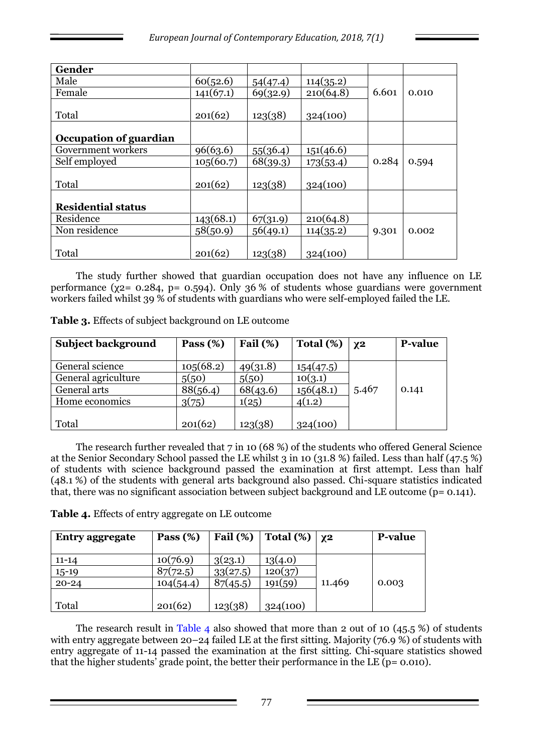| Gender                    |           |          |           |       |       |
|---------------------------|-----------|----------|-----------|-------|-------|
| Male                      | 60(52.6)  | 54(47.4) | 114(35.2) |       |       |
| Female                    | 141(67.1) | 69(32.9) | 210(64.8) | 6.601 | 0.010 |
|                           |           |          |           |       |       |
| Total                     | 201(62)   | 123(38)  | 324(100)  |       |       |
|                           |           |          |           |       |       |
| Occupation of guardian    |           |          |           |       |       |
| Government workers        | 96(63.6)  | 55(36.4) | 151(46.6) |       |       |
| Self employed             | 105(60.7) | 68(39.3) | 173(53.4) | 0.284 | 0.594 |
|                           |           |          |           |       |       |
| Total                     | 201(62)   | 123(38)  | 324(100)  |       |       |
|                           |           |          |           |       |       |
| <b>Residential status</b> |           |          |           |       |       |
| Residence                 | 143(68.1) | 67(31.9) | 210(64.8) |       |       |
| Non residence             | 58(50.9)  | 56(49.1) | 114(35.2) | 9.301 | 0.002 |
|                           |           |          |           |       |       |
| Total                     | 201(62)   | 123(38)  | 324(100)  |       |       |

The study further showed that guardian occupation does not have any influence on LE performance ( $\chi$ 2= 0.284, p= 0.594). Only 36 % of students whose guardians were government workers failed whilst 39 % of students with guardians who were self-employed failed the LE.

| <b>Subject background</b> | Pass $(\%)$ | Fail $(\%)$ | Total $(\%)$ | $X^2$ | <b>P-value</b> |
|---------------------------|-------------|-------------|--------------|-------|----------------|
| General science           | 105(68.2)   | 49(31.8)    | 154(47.5)    |       |                |
| General agriculture       | 5(50)       | 5(50)       | 10(3.1)      |       |                |
| General arts              | 88(56.4)    | 68(43.6)    | 156(48.1)    | 5.467 | 0.141          |
| Home economics            | 3(75)       | 1(25)       | 4(1.2)       |       |                |
|                           |             |             |              |       |                |
| Total                     | 201(62)     | 123(38)     | 324(100)     |       |                |

**Table 3.** Effects of subject background on LE outcome

The research further revealed that 7 in 10 (68 %) of the students who offered General Science at the Senior Secondary School passed the LE whilst 3 in 10 (31.8 %) failed. Less than half (47.5 %) of students with science background passed the examination at first attempt. Less than half (48.1 %) of the students with general arts background also passed. Chi-square statistics indicated that, there was no significant association between subject background and LE outcome (p= 0.141).

|  |  | Table 4. Effects of entry aggregate on LE outcome |  |
|--|--|---------------------------------------------------|--|
|  |  |                                                   |  |

| <b>Entry aggregate</b> | Pass $(\%)$ | Fail $(\%)$ | Total $(\%)$ | $ Y^2 $ | <b>P-value</b> |
|------------------------|-------------|-------------|--------------|---------|----------------|
| $11 - 14$              | 10(76.9)    | 3(23.1)     | 13(4.0)      |         |                |
| $15-19$                | 87(72.5)    | 33(27.5)    | 120(37)      |         |                |
| $20 - 24$              | 104(54.4)   | 87(45.5)    | 191(59)      | 11.469  | 0.003          |
|                        |             |             |              |         |                |
| Total                  | 201(62)     | 123(38)     | 324(100)     |         |                |

The research result in Table 4 also showed that more than 2 out of 10  $(45.5%)$  of students with entry aggregate between 20–24 failed LE at the first sitting. Majority (76.9 %) of students with entry aggregate of 11-14 passed the examination at the first sitting. Chi-square statistics showed that the higher students' grade point, the better their performance in the LE  $(p= 0.010)$ .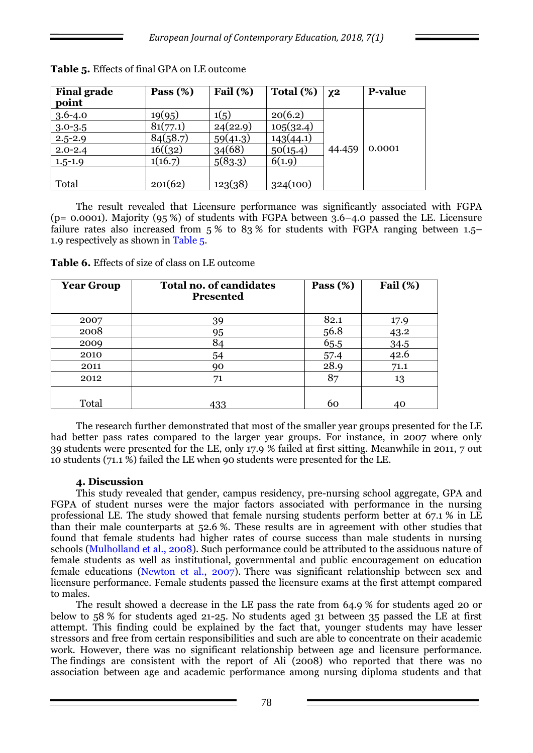| <b>Final grade</b><br>point | Pass $(\%)$ | Fail $(\%)$ | Total $(\%)$ | $X^2$  | <b>P-value</b> |
|-----------------------------|-------------|-------------|--------------|--------|----------------|
| $3.6 - 4.0$                 | 19(95)      | 1(5)        | 20(6.2)      |        |                |
| $3.0 - 3.5$                 | 81(77.1)    | 24(22.9)    | 105(32.4)    |        |                |
| $2.5 - 2.9$                 | 84(58.7)    | 59(41.3)    | 143(44.1)    |        |                |
| $2.0 - 2.4$                 | 16((32)     | 34(68)      | 50(15.4)     | 44.459 | 0.0001         |
| $1.5 - 1.9$                 | 1(16.7)     | 5(83.3)     | 6(1.9)       |        |                |
|                             |             |             |              |        |                |
| Total                       | 201(62)     | 123(38)     | 324(100)     |        |                |

**Table 5.** Effects of final GPA on LE outcome

The result revealed that Licensure performance was significantly associated with FGPA (p= 0.0001). Majority (95 %) of students with FGPA between 3.6–4.0 passed the LE. Licensure failure rates also increased from 5% to 83% for students with FGPA ranging between 1.5– 1.9 respectively as shown in Table 5.

| <b>Year Group</b> | <b>Total no. of candidates</b><br><b>Presented</b> | Pass $(\%)$ | Fail $(\%)$ |
|-------------------|----------------------------------------------------|-------------|-------------|
| 2007              | 39                                                 | 82.1        | 17.9        |
| 2008              | 95                                                 | 56.8        | 43.2        |
| 2009              | 84                                                 | 65.5        | 34.5        |
| 2010              | 54                                                 | 57.4        | 42.6        |
| 2011              | 90                                                 | 28.9        | 71.1        |
| 2012              | 71                                                 | 87          | 13          |
|                   |                                                    |             |             |
| Total             | 433                                                | 60          | 40          |

**Table 6.** Effects of size of class on LE outcome

The research further demonstrated that most of the smaller year groups presented for the LE had better pass rates compared to the larger year groups. For instance, in 2007 where only 39 students were presented for the LE, only 17.9 % failed at first sitting. Meanwhile in 2011, 7 out 10 students (71.1 %) failed the LE when 90 students were presented for the LE.

#### **4. Discussion**

This study revealed that gender, campus residency, pre-nursing school aggregate, GPA and FGPA of student nurses were the major factors associated with performance in the nursing professional LE. The study showed that female nursing students perform better at 67.1 % in LE than their male counterparts at 52.6 %. These results are in agreement with other studies that found that female students had higher rates of course success than male students in nursing schools (Mulholland et al., 2008). Such performance could be attributed to the assiduous nature of female students as well as institutional, governmental and public encouragement on education female educations (Newton et al., 2007). There was significant relationship between sex and licensure performance. Female students passed the licensure exams at the first attempt compared to males.

The result showed a decrease in the LE pass the rate from 64.9 % for students aged 20 or below to 58 % for students aged 21-25. No students aged 31 between 35 passed the LE at first attempt. This finding could be explained by the fact that, younger students may have lesser stressors and free from certain responsibilities and such are able to concentrate on their academic work. However, there was no significant relationship between age and licensure performance. The findings are consistent with the report of Ali (2008) who reported that there was no association between age and academic performance among nursing diploma students and that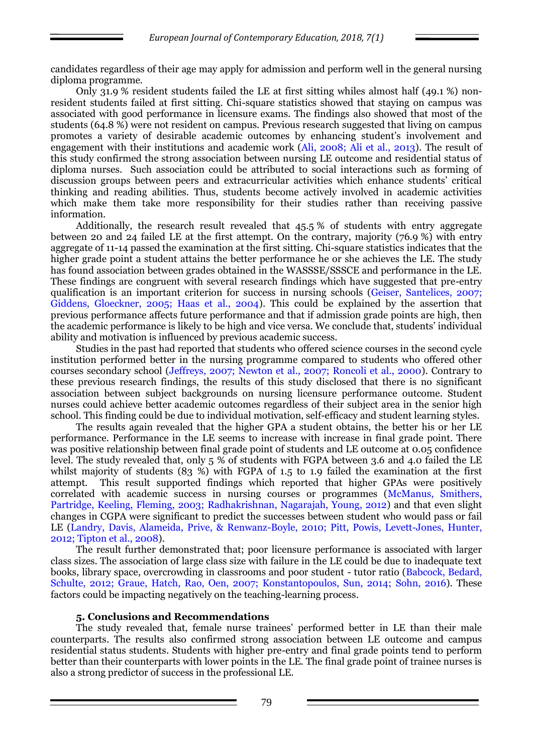candidates regardless of their age may apply for admission and perform well in the general nursing diploma programme.

Only 31.9 % resident students failed the LE at first sitting whiles almost half (49.1 %) nonresident students failed at first sitting. Chi-square statistics showed that staying on campus was associated with good performance in licensure exams. The findings also showed that most of the students (64.8 %) were not resident on campus. Previous research suggested that living on campus promotes a variety of desirable academic outcomes by enhancing student's involvement and engagement with their institutions and academic work (Ali, 2008; Ali et al., 2013). The result of this study confirmed the strong association between nursing LE outcome and residential status of diploma nurses. Such association could be attributed to social interactions such as forming of discussion groups between peers and extracurricular activities which enhance students' critical thinking and reading abilities. Thus, students become actively involved in academic activities which make them take more responsibility for their studies rather than receiving passive information.

Additionally, the research result revealed that 45.5 % of students with entry aggregate between 20 and 24 failed LE at the first attempt. On the contrary, majority (76.9 %) with entry aggregate of 11-14 passed the examination at the first sitting. Chi-square statistics indicates that the higher grade point a student attains the better performance he or she achieves the LE. The study has found association between grades obtained in the WASSSE/SSSCE and performance in the LE. These findings are congruent with several research findings which have suggested that pre-entry qualification is an important criterion for success in nursing schools (Geiser, Santelices, 2007; Giddens, Gloeckner, 2005; Haas et al., 2004). This could be explained by the assertion that previous performance affects future performance and that if admission grade points are high, then the academic performance is likely to be high and vice versa. We conclude that, students' individual ability and motivation is influenced by previous academic success.

Studies in the past had reported that students who offered science courses in the second cycle institution performed better in the nursing programme compared to students who offered other courses secondary school (Jeffreys, 2007; Newton et al., 2007; Roncoli et al., 2000). Contrary to these previous research findings, the results of this study disclosed that there is no significant association between subject backgrounds on nursing licensure performance outcome. Student nurses could achieve better academic outcomes regardless of their subject area in the senior high school. This finding could be due to individual motivation, self-efficacy and student learning styles.

The results again revealed that the higher GPA a student obtains, the better his or her LE performance. Performance in the LE seems to increase with increase in final grade point. There was positive relationship between final grade point of students and LE outcome at 0.05 confidence level. The study revealed that, only 5 % of students with FGPA between 3.6 and 4.0 failed the LE whilst majority of students (83 %) with FGPA of 1.5 to 1.9 failed the examination at the first attempt. This result supported findings which reported that higher GPAs were positively correlated with academic success in nursing courses or programmes (McManus, Smithers, Partridge, Keeling, Fleming, 2003; Radhakrishnan, Nagarajah, Young, 2012) and that even slight changes in CGPA were significant to predict the successes between student who would pass or fail LE (Landry, Davis, Alameida, Prive, & Renwanz-Boyle, 2010; Pitt, Powis, Levett-Jones, Hunter, 2012; Tipton et al., 2008).

The result further demonstrated that; poor licensure performance is associated with larger class sizes. The association of large class size with failure in the LE could be due to inadequate text books, library space, overcrowding in classrooms and poor student - tutor ratio (Babcock, Bedard, Schulte, 2012; Graue, Hatch, Rao, Oen, 2007; Konstantopoulos, Sun, 2014; Sohn, 2016). These factors could be impacting negatively on the teaching-learning process.

### **5. Conclusions and Recommendations**

The study revealed that, female nurse trainees' performed better in LE than their male counterparts. The results also confirmed strong association between LE outcome and campus residential status students. Students with higher pre-entry and final grade points tend to perform better than their counterparts with lower points in the LE. The final grade point of trainee nurses is also a strong predictor of success in the professional LE.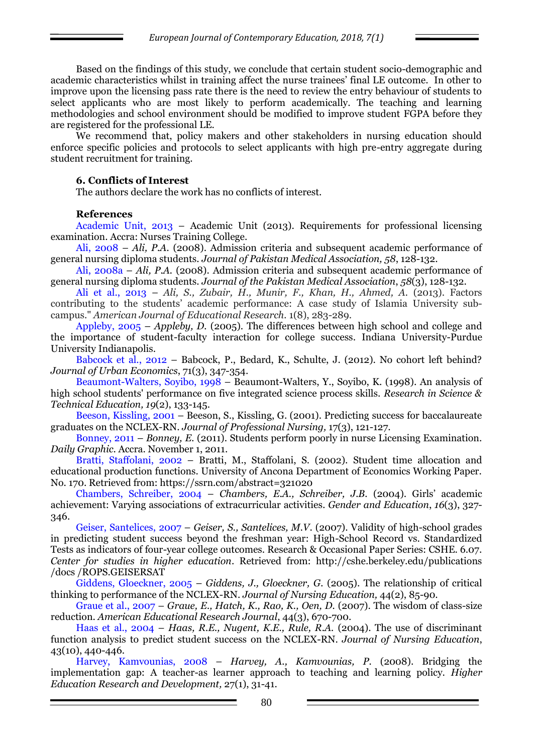Based on the findings of this study, we conclude that certain student socio-demographic and academic characteristics whilst in training affect the nurse trainees' final LE outcome. In other to improve upon the licensing pass rate there is the need to review the entry behaviour of students to select applicants who are most likely to perform academically. The teaching and learning methodologies and school environment should be modified to improve student FGPA before they are registered for the professional LE.

We recommend that, policy makers and other stakeholders in nursing education should enforce specific policies and protocols to select applicants with high pre-entry aggregate during student recruitment for training.

### **6. Conflicts of Interest**

The authors declare the work has no conflicts of interest.

## **References**

Academic Unit, 2013 – Academic Unit (2013). Requirements for professional licensing examination. Accra: Nurses Training College.

Ali, 2008 – *Ali, P.A.* (2008). Admission criteria and subsequent academic performance of general nursing diploma students. *Journal of Pakistan Medical Association, 58*, 128-132.

Ali, 2008a – *Ali, P.A.* (2008). Admission criteria and subsequent academic performance of general nursing diploma students. *Journal of the Pakistan Medical Association*, *58*(3), 128-132.

Ali et al., 2013 – *Ali, S., Zubair, H., Munir, F., Khan, H., Ahmed, A.* (2013). Factors contributing to the students' academic performance: A case study of Islamia University subcampus." *American Journal of Educational Research.* 1(8), 283-289.

Appleby, 2005 – *Appleby, D.* (2005). The differences between high school and college and the importance of student-faculty interaction for college success. Indiana University-Purdue University Indianapolis.

Babcock et al., 2012 – Babcock, P., Bedard, K., Schulte, J. (2012). No cohort left behind? *Journal of Urban Economics*, 71(3), 347-354.

Beaumont-Walters, Soyibo, 1998 – Beaumont-Walters, Y., Soyibo, K. (1998). An analysis of high school students' performance on five integrated science process skills. *Research in Science & Technical Education, 19*(2), 133-145.

Beeson, Kissling, 2001 – Beeson, S., Kissling, G. (2001). Predicting success for baccalaureate graduates on the NCLEX-RN. *Journal of Professional Nursing,* 17(3), 121-127.

Bonney, 2011 – *Bonney, E.* (2011). Students perform poorly in nurse Licensing Examination. *Daily Graphic*. Accra. November 1, 2011.

Bratti, Staffolani, 2002 – Bratti, M., Staffolani, S. (2002). Student time allocation and educational production functions. University of Ancona Department of Economics Working Paper. No. 170. Retrieved from: https://ssrn.com/abstract=321020

Chambers, Schreiber, 2004 – *Chambers, E.A., Schreiber, J.B.* (2004). Girls' academic achievement: Varying associations of extracurricular activities*. Gender and Education*, *16*(3), 327- 346.

Geiser, Santelices, 2007 – *Geiser, S., Santelices, M.V*. (2007). Validity of high-school grades in predicting student success beyond the freshman year: High-School Record vs. Standardized Tests as indicators of four-year college outcomes. Research & Occasional Paper Series: CSHE. 6.07. *Center for studies in higher education*. Retrieved from: http://cshe.berkeley.edu/publications /docs /ROPS.GEISERSAT

Giddens, Gloeckner, 2005 – *Giddens, J., Gloeckner, G.* (2005). The relationship of critical thinking to performance of the NCLEX-RN. *Journal of Nursing Education,* 44(2), 85-90.

Graue et al., 2007 – *Graue, E., Hatch, K., Rao, K., Oen, D.* (2007). The wisdom of class-size reduction. *American Educational Research Journal*, 44(3), 670-700.

Haas et al., 2004 – *Haas, R.E., Nugent, K.E., Rule, R.A.* (2004). The use of discriminant function analysis to predict student success on the NCLEX-RN. *Journal of Nursing Education*, 43(10), 440-446.

Harvey, Kamvounias, 2008 – *Harvey, A., Kamvounias, P.* (2008). Bridging the implementation gap: A teacher-as learner approach to teaching and learning policy. *Higher Education Research and Development,* 27(1), 31-41.